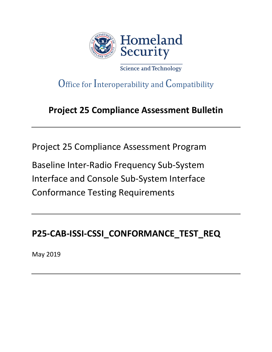

Science and Technology

# Office for Interoperability and Compatibility

# **Project 25 Compliance Assessment Bulletin**

Project 25 Compliance Assessment Program

Baseline Inter-Radio Frequency Sub-System Interface and Console Sub-System Interface Conformance Testing Requirements

# **P25-CAB-ISSI-CSSI\_CONFORMANCE\_TEST\_REQ**

May 2019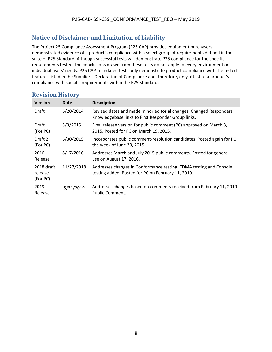# <span id="page-1-0"></span>**Notice of Disclaimer and Limitation of Liability**

The Project 25 Compliance Assessment Program (P25 CAP) provides equipment purchasers demonstrated evidence of a product's compliance with a select group of requirements defined in the suite of P25 Standard. Although successful tests will demonstrate P25 compliance for the specific requirements tested, the conclusions drawn from these tests do not apply to every environment or individual users' needs. P25 CAP-mandated tests only demonstrate product compliance with the tested features listed in the Supplier's Declaration of Compliance and, therefore, only attest to a product's compliance with specific requirements within the P25 Standard.

| <b>Version</b>                    | Date       | <b>Description</b>                                                                                                        |
|-----------------------------------|------------|---------------------------------------------------------------------------------------------------------------------------|
| Draft                             | 6/20/2014  | Revised dates and made minor editorial changes. Changed Responders<br>Knowledgebase links to First Responder Group links. |
| Draft<br>(For PC)                 | 3/3/2015   | Final release version for public comment (PC) approved on March 3,<br>2015. Posted for PC on March 19, 2015.              |
| Draft 2<br>(For PC)               | 6/30/2015  | Incorporates public comment-resolution candidates. Posted again for PC<br>the week of June 30, 2015.                      |
| 2016<br>Release                   | 8/17/2016  | Addresses March and July 2015 public comments. Posted for general<br>use on August 17, 2016.                              |
| 2018 draft<br>release<br>(For PC) | 11/27/2018 | Addresses changes in Conformance testing; TDMA testing and Console<br>testing added. Posted for PC on February 11, 2019.  |
| 2019<br>Release                   | 5/31/2019  | Addresses changes based on comments received from February 11, 2019<br><b>Public Comment.</b>                             |

### <span id="page-1-1"></span>**Revision History**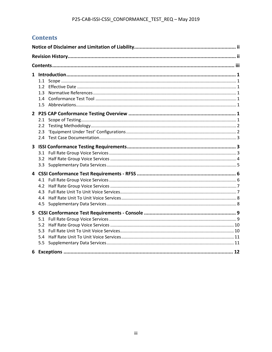# <span id="page-2-0"></span>**Contents**

| 1.2<br>1.3<br>1.4        |  |
|--------------------------|--|
| 2.1<br>2.2<br>2.3        |  |
| 3.2<br>3.3 <sub>1</sub>  |  |
| 4.2<br>43<br>4.4<br>4.5  |  |
| 5.2<br>5.3<br>5.4<br>5.5 |  |
|                          |  |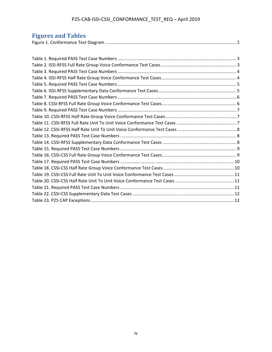# P25-CAB-ISSI-CSSI\_CONFORMANCE\_TEST\_REQ – April 2019

## **Figures and Tables**

| Tigul to and Tables |
|---------------------|
|                     |
|                     |
|                     |
|                     |
|                     |
|                     |
|                     |
|                     |
|                     |
|                     |
|                     |
|                     |
|                     |
|                     |
|                     |
|                     |
|                     |
|                     |
|                     |
|                     |
|                     |
|                     |
|                     |
|                     |
|                     |
|                     |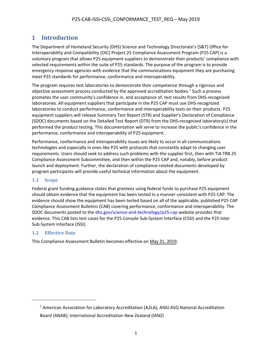# <span id="page-4-0"></span>**1 Introduction**

The Department of Homeland Security (DHS) Science and Technology Directorate's (S&T) Office for Interoperability and Compatibility (OIC) Project 25 Compliance Assessment Program (P25 CAP) is a voluntary program that allows P25 equipment suppliers to demonstrate their products' compliance with selected requirements within the suite of P25 standards. The purpose of the program is to provide emergency response agencies with evidence that the communications equipment they are purchasing meet P25 standards for performance, conformance and interoperability.

The program requires test laboratories to demonstrate their competence through a rigorous and objective assessment process conducted by the approved accreditation bodies.<sup>[1](#page-4-3)</sup> Such a process promotes the user community's confidence in, and acceptance of, test results from DHS-recognized laboratories. All equipment suppliers that participate in the P25 CAP must use DHS-recognized laboratories to conduct performance, conformance and interoperability tests on their products. P25 equipment suppliers will release Summary Test Report (STR) and Supplier's Declaration of Compliance (SDOC) documents based on the Detailed Test Report (DTR) from the DHS-recognized laboratory(s) that performed the product testing. This documentation will serve to increase the public's confidence in the performance, conformance and interoperability of P25 equipment.

Performance, conformance and interoperability issues are likely to occur in all communications technologies and especially in ones like P25 with protocols that constantly adapt to changing user requirements. Users should seek to address such problems with the supplier first, then with TIA TR8.25 Compliance Assessment Subcommittee, and then within the P25 CAP and, notably, before product launch and deployment. Further, the declaration of compliance-related documents developed by program participants will provide useful technical information about the equipment.

### <span id="page-4-1"></span>**1.1 Scope**

Federal grant funding guidance states that grantees using federal funds to purchase P25 equipment should obtain evidence that the equipment has been tested in a manner consistent with P25 CAP. The evidence should show the equipment has been tested based on all of the applicable, published P25 CAP Compliance Assessment Bulletins (CAB) covering performance, conformance and interoperability. The SDOC documents posted to the [dhs.gov/science-and-technology/p25-cap](https://www.dhs.gov/science-and-technology/p25-cap) website provides that evidence. This CAB lists test cases for the P25 Console Sub-System Interface (CSSI) and the P25 Inter Sub-System Interface (ISSI).

### <span id="page-4-2"></span>**1.2 Effective Date**

This Compliance Assessment Bulletin becomes effective on May 31, 2019.

<span id="page-4-3"></span><sup>&</sup>lt;sup>1</sup> [American Association for Laboratory Accreditation \(A2LA\);](https://www.dhs.gov/redirect?url=http%3A%2F%2Fwww.a2la.org%2F) ANSI-ASQ National Accreditation [Board \(ANAB\);](https://www.dhs.gov/redirect?url=http%3A%2F%2Fwww.anab.org%2F) [International Accreditation New Zealand \(IANZ\)](http://www.ianz.govt.nz/)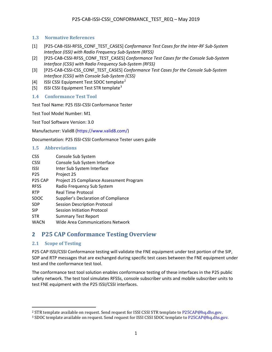### <span id="page-5-0"></span>**1.3 Normative References**

- [1] [P25-CAB-ISSI-RFSS\_CONF\_TEST\_CASES] *Conformance Test Cases for the Inter-RF Sub-System Interface (ISSI) with Radio Frequency Sub-System (RFSS)*
- [2] [P25-CAB-CSSI-RFSS\_CONF\_TEST\_CASES] *Conformance Test Cases for the Console Sub-System Interface (CSSI) with Radio Frequency Sub-System (RFSS)*
- [3] [P25-CAB-CSSI-CSS\_CONF\_TEST\_CASES] *Conformance Test Cases for the Console Sub-System Interface (CSSI) with Console Sub-System (CSS)*
- [4] ISSI CSSI Equipment Test SDOC template<sup>[2](#page-5-5)</sup>
- [5] ISSI CSSI Equipment Test STR template<sup>[3](#page-5-6)</sup>

### <span id="page-5-1"></span>**1.4 Conformance Test Tool**

Test Tool Name: P25 ISSI-CSSI Conformance Tester

Test Tool Model Number: M1

Test Tool Software Version: 3.0

Manufacturer: Valid8 [\(https://www.valid8.com/\)](https://www.valid8.com/)

Documentation: P25 ISSI-CSSI Conformance Tester users guide

#### <span id="page-5-2"></span>**1.5 Abbreviations**

| CSS                 | Console Sub System                       |
|---------------------|------------------------------------------|
| <b>CSSI</b>         | Console Sub System Interface             |
| ISSI                | Inter Sub System Interface               |
| P <sub>25</sub>     | Project 25                               |
| P <sub>25</sub> CAP | Project 25 Compliance Assessment Program |
| <b>RFSS</b>         | Radio Frequency Sub System               |
| <b>RTP</b>          | Real Time Protocol                       |
| SDOC                | Supplier's Declaration of Compliance     |
| SDP                 | <b>Session Description Protocol</b>      |
| SIP                 | Session Initiation Protocol              |
| STR                 | <b>Summary Test Report</b>               |
| WACN                | Wide Area Communications Network         |
|                     |                                          |

## <span id="page-5-3"></span>**2 P25 CAP Conformance Testing Overview**

### <span id="page-5-4"></span>**2.1 Scope of Testing**

 $\overline{\phantom{a}}$ 

P25 CAP ISSI/CSSI Conformance testing will validate the FNE equipment under test portion of the SIP, SDP and RTP messages that are exchanged during specific test cases between the FNE equipment under test and the conformance test tool.

The conformance test tool solution enables conformance testing of these interfaces in the P25 public safety network. The test tool simulates RFSSs, console subscriber units and mobile subscriber units to test FNE equipment with the P25 ISSI/CSSI interfaces.

<span id="page-5-6"></span><span id="page-5-5"></span><sup>&</sup>lt;sup>2</sup> STR template available on request. Send request for ISSI CSSI STR template t[o P25CAP@hq.dhs.gov.](mailto:P25CAP@hq.dhs.gov?subject=Request%20for%20ISSI%20CSSI%20STR%20template)<br><sup>3</sup>SDOC template available on request. Send request for ISSI CSSI SDOC template to P25CAP@hq.dhs.gov.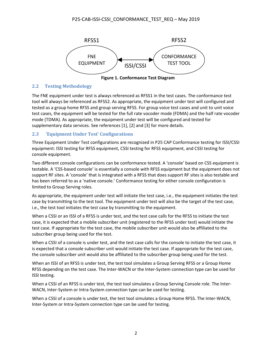

**Figure 1. Conformance Test Diagram**

### <span id="page-6-0"></span>**2.2 Testing Methodology**

The FNE equipment under test is always referenced as RFSS1 in the test cases. The conformance test tool will always be referenced as RFSS2. As appropriate, the equipment under test will configured and tested as a group home RFSS and group serving RFSS. For group voice test cases and unit to unit voice test cases, the equipment will be tested for the full rate vocoder mode (FDMA) and the half rate vocoder mode (TDMA). As appropriate, the equipment under test will be configured and tested for supplementary data services. See references [1], [2] and [3] for more details.

### <span id="page-6-1"></span>**2.3 'Equipment Under Test' Configurations**

Three Equipment Under Test configurations are recognized in P25 CAP Conformance testing for ISSI/CSSI equipment: ISSI testing for RFSS equipment, CSSI testing for RFSS equipment, and CSSI testing for console equipment.

Two different console configurations can be conformance tested. A 'console' based on CSS equipment is testable. A 'CSS-based console' is essentially a console with RFSS equipment but the equipment does not support RF sites. A 'console' that is integrated with a RFSS that does support RF sites is also testable and has been referred to as a 'native console.' Conformance testing for either console configuration is limited to Group Serving roles.

As appropriate, the equipment under test will initiate the test case, i.e., the equipment initiates the test case by transmitting to the test tool. The equipment under test will also be the target of the test case, i.e., the test tool initiates the test case by transmitting to the equipment.

When a CSSI or an ISSI of a RFSS is under test, and the test case calls for the RFSS to initiate the test case, it is expected that a mobile subscriber unit (registered to the RFSS under test) would initiate the test case. If appropriate for the test case, the mobile subscriber unit would also be affiliated to the subscriber group being used for the test.

When a CSSI of a console is under test, and the test case calls for the console to initiate the test case, it is expected that a console subscriber unit would initiate the test case. If appropriate for the test case, the console subscriber unit would also be affiliated to the subscriber group being used for the test.

When an ISSI of an RFSS is under test, the test tool simulates a Group Serving RFSS or a Group Home RFSS depending on the test case. The Inter-WACN or the Inter-System connection type can be used for ISSI testing.

When a CSSI of an RFSS is under test, the test tool simulates a Group Serving Console role. The Inter-WACN, Inter-System or Intra-System connection type can be used for testing.

When a CSSI of a console is under test, the test tool simulates a Group Home RFSS. The Inter-WACN, Inter-System or Intra-System connection type can be used for testing.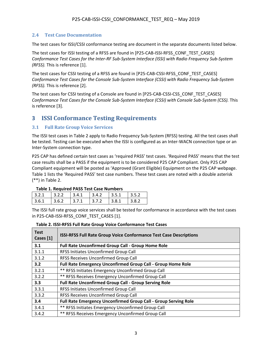### <span id="page-7-0"></span>**2.4 Test Case Documentation**

The test cases for ISSI/CSSI conformance testing are document in the separate documents listed below.

The test cases for ISSI testing of a RFSS are found in [P25-CAB-ISSI-RFSS\_CONF\_TEST\_CASES] *Conformance Test Cases for the Inter-RF Sub-System Interface (ISSI) with Radio Frequency Sub-System (RFSS).* This is reference [1].

The test cases for CSSI testing of a RFSS are found in [P25-CAB-CSSI-RFSS\_CONF\_TEST\_CASES] *Conformance Test Cases for the Console Sub-System Interface (CSSI) with Radio Frequency Sub-System (RFSS).* This is reference [2].

The test cases for CSSI testing of a Console are found in [P25-CAB-CSSI-CSS\_CONF\_TEST\_CASES] *Conformance Test Cases for the Console Sub-System Interface (CSSI) with Console Sub-System (CSS).* This is reference [3].

## <span id="page-7-1"></span>**3 ISSI Conformance Testing Requirements**

### <span id="page-7-2"></span>**3.1 Full Rate Group Voice Services**

The ISSI test cases in Table 2 apply to Radio Frequency Sub-System (RFSS) testing. All the test cases shall be tested. Testing can be executed when the ISSI is configured as an Inter-WACN connection type or an Inter-System connection type.

P25 CAP has defined certain test cases as 'required PASS' test cases. 'Required PASS' means that the test case results shall be a PASS if the equipment is to be considered P25 CAP Compliant. Only P25 CAP Compliant equipment will be posted as 'Approved (Grant Eligible) Equipment on the P25 CAP webpage. Table 1 lists the 'Required PASS' test case numbers. These test cases are noted with a double asterisk (\*\*) in Table 2.

| Table 1. Regulieu PASS Test Case Nullibers |        |         |         |                     |         |  |
|--------------------------------------------|--------|---------|---------|---------------------|---------|--|
| 3.2.1                                      | 3.2.2  | 3.4.1   | 3.4.2   | $\vert 3.5.1 \vert$ | 13.5.2  |  |
| 3.6.1                                      | 13.6.2 | 1,3.7.1 | 1,3.7.2 | 1,3.8.1             | 1,3.8.2 |  |

### **Table 1. Required PASS Test Case Numbers**

The ISSI full rate group voice services shall be tested for conformance in accordance with the test cases in P25-CAB-ISSI-RFSS\_CONF\_TEST\_CASES [1].

| Table 2. ISSI-RFSS Full Rate Group Voice Conformance Test Cases |
|-----------------------------------------------------------------|
|-----------------------------------------------------------------|

| <b>Test</b><br>Cases [1] | <b>ISSI-RFSS Full Rate Group Voice Conformance Test Case Descriptions</b> |
|--------------------------|---------------------------------------------------------------------------|
| 3.1                      | Full Rate Unconfirmed Group Call - Group Home Role                        |
| 3.1.1                    | <b>RFSS Initiates Unconfirmed Group Call</b>                              |
| 3.1.2                    | RFSS Receives Unconfirmed Group Call                                      |
| 3.2                      | Full Rate Emergency Unconfirmed Group Call - Group Home Role              |
| 3.2.1                    | ** RFSS Initiates Emergency Unconfirmed Group Call                        |
| 3.2.2                    | ** RFSS Receives Emergency Unconfirmed Group Call                         |
| 3.3                      | <b>Full Rate Unconfirmed Group Call - Group Serving Role</b>              |
| 3.3.1                    | <b>RFSS Initiates Unconfirmed Group Call</b>                              |
| 3.3.2                    | RFSS Receives Unconfirmed Group Call                                      |
| 3.4                      | Full Rate Emergency Unconfirmed Group Call - Group Serving Role           |
| 3.4.1                    | ** RFSS Initiates Emergency Unconfirmed Group Call                        |
| 3.4.2                    | ** RFSS Receives Emergency Unconfirmed Group Call                         |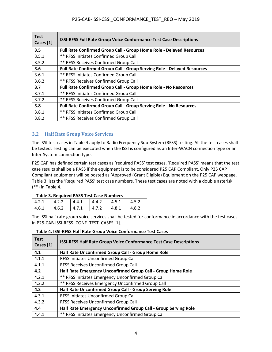| <b>Test</b><br>Cases [1] | <b>ISSI-RFSS Full Rate Group Voice Conformance Test Case Descriptions</b> |  |  |
|--------------------------|---------------------------------------------------------------------------|--|--|
| 3.5                      | Full Rate Confirmed Group Call - Group Home Role - Delayed Resources      |  |  |
| 3.5.1                    | <b>** RFSS Initiates Confirmed Group Call</b>                             |  |  |
| 3.5.2                    | <b>** RFSS Receives Confirmed Group Call</b>                              |  |  |
| 3.6                      | Full Rate Confirmed Group Call - Group Serving Role - Delayed Resources   |  |  |
| 3.6.1                    | <b>** RFSS Initiates Confirmed Group Call</b>                             |  |  |
| 3.6.2                    | <b>** RFSS Receives Confirmed Group Call</b>                              |  |  |
| 3.7                      | Full Rate Confirmed Group Call - Group Home Role - No Resources           |  |  |
| 3.7.1                    | <b>** RFSS Initiates Confirmed Group Call</b>                             |  |  |
| 3.7.2                    | <b>** RFSS Receives Confirmed Group Call</b>                              |  |  |
| 3.8                      | Full Rate Confirmed Group Call - Group Serving Role - No Resources        |  |  |
| 3.8.1                    | <b>** RFSS Initiates Confirmed Group Call</b>                             |  |  |
| 3.8.2                    | <b>** RFSS Receives Confirmed Group Call</b>                              |  |  |

### <span id="page-8-0"></span>**3.2 Half Rate Group Voice Services**

The ISSI test cases in Table 4 apply to Radio Frequency Sub-System (RFSS) testing. All the test cases shall be tested. Testing can be executed when the ISSI is configured as an Inter-WACN connection type or an Inter-System connection type.

P25 CAP has defined certain test cases as 'required PASS' test cases. 'Required PASS' means that the test case results shall be a PASS if the equipment is to be considered P25 CAP Compliant. Only P25 CAP Compliant equipment will be posted as 'Approved (Grant Eligible) Equipment on the P25 CAP webpage. Table 3 lists the 'Required PASS' test case numbers. These test cases are noted with a double asterisk (\*\*) in Table 4.

### **Table 3. Required PASS Test Case Numbers**

| ------- |       |        |       |       |              |
|---------|-------|--------|-------|-------|--------------|
| 14.2.1  |       | 4.4.1  | 4.4.2 | 4.5.1 | 14.5.2       |
| 4.6.1   | 4.6.2 | 14.7.1 | 4.7.2 | 14.81 | $\Delta$ 8.2 |

The ISSI half rate group voice services shall be tested for conformance in accordance with the test cases in P25-CAB-ISSI-RFSS\_CONF\_TEST\_CASES [1].

| <b>Test</b><br>Cases [1] | <b>ISSI-RFSS Half Rate Group Voice Conformance Test Case Descriptions</b> |  |  |
|--------------------------|---------------------------------------------------------------------------|--|--|
| 4.1                      | Half Rate Unconfirmed Group Call - Group Home Role                        |  |  |
| 4.1.1                    | RFSS Initiates Unconfirmed Group Call                                     |  |  |
| 4.1.1                    | RFSS Receives Unconfirmed Group Call                                      |  |  |
| 4.2                      | Half Rate Emergency Unconfirmed Group Call - Group Home Role              |  |  |
| 4.2.1                    | ** RFSS Initiates Emergency Unconfirmed Group Call                        |  |  |
| 4.2.2                    | ** RFSS Receives Emergency Unconfirmed Group Call                         |  |  |
| 4.3                      | Half Rate Unconfirmed Group Call - Group Serving Role                     |  |  |
| 4.3.1                    | RFSS Initiates Unconfirmed Group Call                                     |  |  |
| 4.3.2                    | RFSS Receives Unconfirmed Group Call                                      |  |  |
| 4.4                      | Half Rate Emergency Unconfirmed Group Call - Group Serving Role           |  |  |
| 4.4.1                    | ** RFSS Initiates Emergency Unconfirmed Group Call                        |  |  |

### **Table 4. ISSI-RFSS Half Rate Group Voice Conformance Test Cases**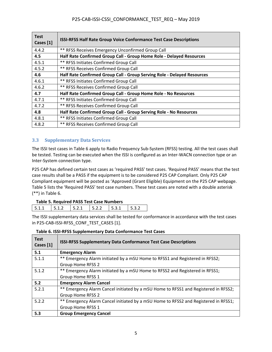| <b>Test</b><br>Cases [1] | <b>ISSI-RFSS Half Rate Group Voice Conformance Test Case Descriptions</b> |  |  |
|--------------------------|---------------------------------------------------------------------------|--|--|
| 4.4.2                    | ** RFSS Receives Emergency Unconfirmed Group Call                         |  |  |
| 4.5                      | Half Rate Confirmed Group Call - Group Home Role - Delayed Resources      |  |  |
| 4.5.1                    | <b>** RFSS Initiates Confirmed Group Call</b>                             |  |  |
| 4.5.2                    | <b>** RFSS Receives Confirmed Group Call</b>                              |  |  |
| 4.6                      | Half Rate Confirmed Group Call - Group Serving Role - Delayed Resources   |  |  |
| 4.6.1                    | <b>** RFSS Initiates Confirmed Group Call</b>                             |  |  |
| 4.6.2                    | <b>** RFSS Receives Confirmed Group Call</b>                              |  |  |
| 4.7                      | Half Rate Confirmed Group Call - Group Home Role - No Resources           |  |  |
| 4.7.1                    | ** RFSS Initiates Confirmed Group Call                                    |  |  |
| 4.7.2                    | <b>** RFSS Receives Confirmed Group Call</b>                              |  |  |
| 4.8                      | Half Rate Confirmed Group Call - Group Serving Role - No Resources        |  |  |
| 4.8.1                    | <b>** RFSS Initiates Confirmed Group Call</b>                             |  |  |
| 4.8.2                    | <b>** RFSS Receives Confirmed Group Call</b>                              |  |  |

### <span id="page-9-0"></span>**3.3 Supplementary Data Services**

The ISSI test cases in Table 6 apply to Radio Frequency Sub-System (RFSS) testing. All the test cases shall be tested. Testing can be executed when the ISSI is configured as an Inter-WACN connection type or an Inter-System connection type.

P25 CAP has defined certain test cases as 'required PASS' test cases. 'Required PASS' means that the test case results shall be a PASS if the equipment is to be considered P25 CAP Compliant. Only P25 CAP Compliant equipment will be posted as 'Approved (Grant Eligible) Equipment on the P25 CAP webpage. Table 5 lists the 'Required PASS' test case numbers. These test cases are noted with a double asterisk (\*\*) in Table 6.

### **Table 5. Required PASS Test Case Numbers**

| .                                 |  |  |  |
|-----------------------------------|--|--|--|
| 511   512   521   522   531   532 |  |  |  |
|                                   |  |  |  |

The ISSI supplementary data services shall be tested for conformance in accordance with the test cases in P25-CAB-ISSI-RFSS\_CONF\_TEST\_CASES [1].

| <b>Test</b><br>Cases [1] | <b>ISSI-RFSS Supplementary Data Conformance Test Case Descriptions</b>              |
|--------------------------|-------------------------------------------------------------------------------------|
| 5.1                      | <b>Emergency Alarm</b>                                                              |
| 5.1.1                    | ** Emergency Alarm initiated by a mSU Home to RFSS1 and Registered in RFSS2;        |
|                          | Group Home RFSS 2                                                                   |
| 5.1.2                    | ** Emergency Alarm initiated by a mSU Home to RFSS2 and Registered in RFSS1;        |
|                          | Group Home RFSS 1                                                                   |
| 5.2                      | <b>Emergency Alarm Cancel</b>                                                       |
| 5.2.1                    | ** Emergency Alarm Cancel initiated by a mSU Home to RFSS1 and Registered in RFSS2; |
|                          | Group Home RFSS 2                                                                   |
| 5.2.2                    | ** Emergency Alarm Cancel initiated by a mSU Home to RFSS2 and Registered in RFSS1; |
|                          | Group Home RFSS 1                                                                   |
| 5.3                      | <b>Group Emergency Cancel</b>                                                       |

### **Table 6. ISSI-RFSS Supplementary Data Conformance Test Cases**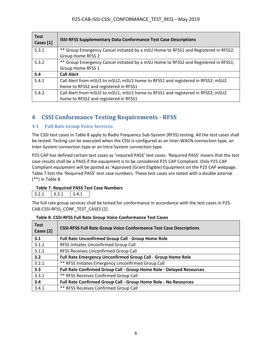| <b>Test</b><br>Cases [1] | <b>ISSI-RFSS Supplementary Data Conformance Test Case Descriptions</b>                                                  |
|--------------------------|-------------------------------------------------------------------------------------------------------------------------|
| 5.3.1                    | ** Group Emergency Cancel initiated by a mSU Home to RFSS1 and Registered in RFSS2;<br>Group Home RFSS 2                |
| 5.3.2                    | ** Group Emergency Cancel initiated by a mSU Home to RFSS2 and Registered in RFSS1;<br>Group Home RFSS 1                |
| 5.4                      | <b>Call Alert</b>                                                                                                       |
| 5.4.1                    | Call Alert from mSU1 to mSU2; mSU1 home to RFSS1 and registered in RFSS2; mSU2<br>home to RFSS2 and registered in RFSS1 |
| 5.4.2                    | Call Alert from mSU2 to mSU1; mSU1 home to RFSS1 and registered in RFSS2; mSU2<br>home to RFSS2 and registered in RFSS1 |

# <span id="page-10-0"></span>**4 CSSI Conformance Testing Requirements - RFSS**

### <span id="page-10-1"></span>**4.1 Full Rate Group Voice Services**

The CSSI test cases in Table 8 apply to Radio Frequency Sub-System (RFSS) testing. All the test cases shall be tested. Testing can be executed when the CSSI is configured as an Inter-WACN connection type, an Inter-System connection type or an Intra-System connection type.

P25 CAP has defined certain test cases as 'required PASS' test cases. 'Required PASS' means that the test case results shall be a PASS if the equipment is to be considered P25 CAP Compliant. Only P25 CAP Compliant equipment will be posted as 'Approved (Grant Eligible) Equipment on the P25 CAP webpage. Table 7 lists the 'Required PASS' test case numbers. These test cases are noted with a double asterisk (\*\*) in Table 8.

### **Table 7. Required PASS Test Case Numbers**

| s.<br>$- - -$ | - - - | $\cdot$ $\cdot$ $\cdot$ |
|---------------|-------|-------------------------|
|               |       |                         |

The full rate group services shall be tested for conformance in accordance with the test cases in P25- CAB-CSSI-RFSS\_CONF\_TEST\_CASES [2].

| <b>Test</b><br>Cases [2] | <b>CSSI-RFSS Full Rate Group Voice Conformance Test Case Descriptions</b> |  |
|--------------------------|---------------------------------------------------------------------------|--|
| 3.1                      | Full Rate Unconfirmed Group Call - Group Home Role                        |  |
| 3.1.1                    | RFSS Initiates Unconfirmed Group Call                                     |  |
| 3.1.2                    | RFSS Receives Unconfirmed Group Call                                      |  |
| 3.2                      | <b>Full Rate Emergency Unconfirmed Group Call - Group Home Role</b>       |  |
| 3.2.1                    | ** RFSS Initiates Emergency Unconfirmed Group Call                        |  |
| 3.3                      | Full Rate Confirmed Group Call - Group Home Role - Delayed Resources      |  |
| 3.3.1                    | <b>** RFSS Receives Confirmed Group Call</b>                              |  |
| 3.4                      | Full Rate Confirmed Group Call - Group Home Role - No Resources           |  |
| 3.4.1                    | <b>** RFSS Receives Confirmed Group Call</b>                              |  |

### **Table 8. CSSI-RFSS Full Rate Group Voice Conformance Test Cases**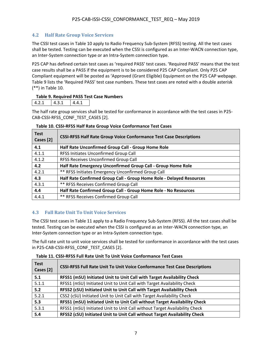### <span id="page-11-0"></span>**4.2 Half Rate Group Voice Services**

The CSSI test cases in Table 10 apply to Radio Frequency Sub-System (RFSS) testing. All the test cases shall be tested. Testing can be executed when the CSSI is configured as an Inter-WACN connection type, an Inter-System connection type or an Intra-System connection type.

P25 CAP has defined certain test cases as 'required PASS' test cases. 'Required PASS' means that the test case results shall be a PASS if the equipment is to be considered P25 CAP Compliant. Only P25 CAP Compliant equipment will be posted as 'Approved (Grant Eligible) Equipment on the P25 CAP webpage. Table 9 lists the 'Required PASS' test case numbers. These test cases are noted with a double asterisk (\*\*) in Table 10.

#### **Table 9. Required PASS Test Case Numbers**

|--|

The half rate group services shall be tested for conformance in accordance with the test cases in P25- CAB-CSSI-RFSS\_CONF\_TEST\_CASES [2].

| <b>Test</b><br>Cases [2] | <b>CSSI-RFSS Half Rate Group Voice Conformance Test Case Descriptions</b> |  |
|--------------------------|---------------------------------------------------------------------------|--|
| 4.1                      | Half Rate Unconfirmed Group Call - Group Home Role                        |  |
| 4.1.1                    | RFSS Initiates Unconfirmed Group Call                                     |  |
| 4.1.2                    | RFSS Receives Unconfirmed Group Call                                      |  |
| 4.2                      | Half Rate Emergency Unconfirmed Group Call - Group Home Role              |  |
| 4.2.1                    | ** RFSS Initiates Emergency Unconfirmed Group Call                        |  |
| 4.3                      | Half Rate Confirmed Group Call - Group Home Role - Delayed Resources      |  |
| 4.3.1                    | <b>** RFSS Receives Confirmed Group Call</b>                              |  |
| 4.4                      | Half Rate Confirmed Group Call - Group Home Role - No Resources           |  |
| 4.4.1                    | <b>** RFSS Receives Confirmed Group Call</b>                              |  |

#### **Table 10. CSSI-RFSS Half Rate Group Voice Conformance Test Cases**

### <span id="page-11-1"></span>**4.3 Full Rate Unit To Unit Voice Services**

The CSSI test cases in Table 11 apply to a Radio Frequency Sub-System (RFSS). All the test cases shall be tested. Testing can be executed when the CSSI is configured as an Inter-WACN connection type, an Inter-System connection type or an Intra-System connection type.

The full rate unit to unit voice services shall be tested for conformance in accordance with the test cases in P25-CAB-CSSI-RFSS\_CONF\_TEST\_CASES [2].

| Table 11. CSSI-RFSS Full Rate Unit To Unit Voice Conformance Test Cases |  |  |
|-------------------------------------------------------------------------|--|--|
|-------------------------------------------------------------------------|--|--|

| <b>Test</b><br>Cases [2] | <b>CSSI-RFSS Full Rate Unit To Unit Voice Conformance Test Case Descriptions</b> |
|--------------------------|----------------------------------------------------------------------------------|
| 5.1                      | RFSS1 (mSU) Initiated Unit to Unit Call with Target Availability Check           |
| 5.1.1                    | RFSS1 (mSU) Initiated Unit to Unit Call with Target Availability Check           |
| 5.2                      | RFSS2 (cSU) Initiated Unit to Unit Call with Target Availability Check           |
| 5.2.1                    | CSS2 (cSU) Initiated Unit to Unit Call with Target Availability Check            |
| 5.3                      | RFSS1 (mSU) Initiated Unit to Unit Call without Target Availability Check        |
| 5.3.1                    | RFSS1 (mSU) Initiated Unit to Unit Call without Target Availability Check        |
| 5.4                      | RFSS2 (cSU) Initiated Unit to Unit Call without Target Availability Check        |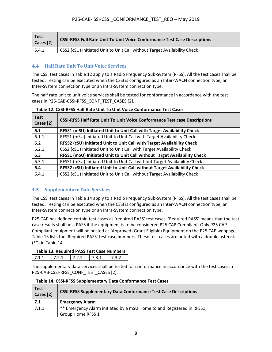| <b>Test</b><br>Cases [2] | <b>CSSI-RFSS Full Rate Unit To Unit Voice Conformance Test Case Descriptions</b> |
|--------------------------|----------------------------------------------------------------------------------|
| 5.4.1                    | CSS2 (cSU) Initiated Unit to Unit Call without Target Availability Check         |

### <span id="page-12-0"></span>**4.4 Half Rate Unit To Unit Voice Services**

The CSSI test cases in Table 12 apply to a Radio Frequency Sub-System (RFSS). All the test cases shall be tested. Testing can be executed when the CSSI is configured as an Inter-WACN connection type, an Inter-System connection type or an Intra-System connection type.

The half rate unit to unit voice services shall be tested for conformance in accordance with the test cases in P25-CAB-CSSI-RFSS\_CONF\_TEST\_CASES [2].

| <b>Test</b><br>Cases [2] | <b>CSSI-RFSS Half Rate Unit To Unit Voice Conformance Test case Descriptions</b> |  |
|--------------------------|----------------------------------------------------------------------------------|--|
| 6.1                      | RFSS1 (mSU) Initiated Unit to Unit Call with Target Availability Check           |  |
| 6.1.1                    | RFSS1 (mSU) Initiated Unit to Unit Call with Target Availability Check           |  |
| 6.2                      | RFSS2 (cSU) Initiated Unit to Unit Call with Target Availability Check           |  |
| 6.2.1                    | CSS2 (cSU) Initiated Unit to Unit Call with Target Availability Check            |  |
| 6.3                      | RFSS1 (mSU) Initiated Unit to Unit Call without Target Availability Check        |  |
| 6.3.1                    | RFSS1 (mSU) Initiated Unit to Unit Call without Target Availability Check        |  |
| 6.4                      | RFSS2 (cSU) Initiated Unit to Unit Call without Target Availability Check        |  |
| 6.4.1                    | CSS2 (cSU) Initiated Unit to Unit Call without Target Availability Check         |  |

**Table 12. CSSI-RFSS Half Rate Unit To Unit Voice Conformance Test Cases**

### <span id="page-12-1"></span>**4.5 Supplementary Data Services**

The CSSI test cases in Table 14 apply to a Radio Frequency Sub-System (RFSS). All the test cases shall be tested. Testing can be executed when the CSSI is configured as an Inter-WACN connection type, an Inter-System connection type or an Intra-System connection type.

P25 CAP has defined certain test cases as 'required PASS' test cases. 'Required PASS' means that the test case results shall be a PASS if the equipment is to be considered P25 CAP Compliant. Only P25 CAP Compliant equipment will be posted as 'Approved (Grant Eligible) Equipment on the P25 CAP webpage. Table 13 lists the 'Required PASS' test case numbers. These test cases are noted with a double asterisk (\*\*) in Table 14.

### **Table 13. Required PASS Test Case Numbers**

| $\sim$ | ∸ | . . | $\sim$ $\sim$ $\sim$ $\sim$ |
|--------|---|-----|-----------------------------|

The supplementary data services shall be tested for conformance in accordance with the test cases in P25-CAB-CSSI-RFSS\_CONF\_TEST\_CASES [2].

| <b>Test</b><br>Cases [2] | <b>CSSI-RFSS Supplementary Data Conformance Test Case Descriptions</b> |
|--------------------------|------------------------------------------------------------------------|
| 7.1                      | <b>Emergency Alarm</b>                                                 |
| 7.1.1                    | ** Emergency Alarm initiated by a mSU Home to and Registered in RFSS1; |
|                          | Group Home RFSS 1                                                      |

#### **Table 14. CSSI-RFSS Supplementary Data Conformance Test Cases**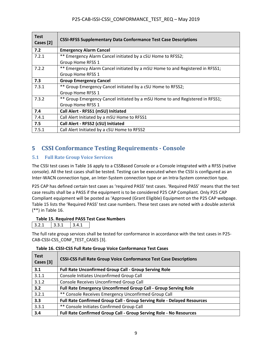| <b>Test</b><br>Cases [2] | <b>CSSI-RFSS Supplementary Data Conformance Test Case Descriptions</b>        |
|--------------------------|-------------------------------------------------------------------------------|
| 7.2                      | <b>Emergency Alarm Cancel</b>                                                 |
| 7.2.1                    | ** Emergency Alarm Cancel initiated by a cSU Home to RFSS2;                   |
|                          | Group Home RFSS 1                                                             |
| 7.2.2                    | ** Emergency Alarm Cancel initiated by a mSU Home to and Registered in RFSS1; |
|                          | Group Home RFSS 1                                                             |
| 7.3                      | <b>Group Emergency Cancel</b>                                                 |
| 7.3.1                    | ** Group Emergency Cancel initiated by a cSU Home to RFSS2;                   |
|                          | Group Home RFSS 1                                                             |
| 7.3.2                    | ** Group Emergency Cancel initiated by a mSU Home to and Registered in RFSS1; |
|                          | Group Home RFSS 1                                                             |
| 7.4                      | Call Alert - RFSS1 (mSU) Initiated                                            |
| 7.4.1                    | Call Alert Initiated by a mSU Home to RFSS1                                   |
| 7.5                      | Call Alert - RFSS2 (cSU) Initiated                                            |
| 7.5.1                    | Call Alert Initiated by a cSU Home to RFSS2                                   |

# <span id="page-13-0"></span>**5 CSSI Conformance Testing Requirements - Console**

### <span id="page-13-1"></span>**5.1 Full Rate Group Voice Services**

The CSSI test cases in Table 16 apply to a CSSBased Console or a Console integrated with a RFSS (native console). All the test cases shall be tested. Testing can be executed when the CSSI is configured as an Inter-WACN connection type, an Inter-System connection type or an Intra-System connection type.

P25 CAP has defined certain test cases as 'required PASS' test cases. 'Required PASS' means that the test case results shall be a PASS if the equipment is to be considered P25 CAP Compliant. Only P25 CAP Compliant equipment will be posted as 'Approved (Grant Eligible) Equipment on the P25 CAP webpage. Table 15 lists the 'Required PASS' test case numbers. These test cases are noted with a double asterisk (\*\*) in Table 16.

### **Table 15. Required PASS Test Case Numbers**

| z. | $ -$ |  |
|----|------|--|

The full rate group services shall be tested for conformance in accordance with the test cases in P25- CAB-CSSI-CSS\_CONF\_TEST\_CASES [3].

| <b>Test</b><br>Cases [3] | <b>CSSI-CSS Full Rate Group Voice Conformance Test Case Descriptions</b> |
|--------------------------|--------------------------------------------------------------------------|
| 3.1                      | <b>Full Rate Unconfirmed Group Call - Group Serving Role</b>             |
| 3.1.1                    | Console Initiates Unconfirmed Group Call                                 |
| 3.1.2                    | Console Receives Unconfirmed Group Call                                  |
| 3.2                      | Full Rate Emergency Unconfirmed Group Call - Group Serving Role          |
| 3.2.1                    | ** Console Receives Emergency Unconfirmed Group Call                     |
| 3.3                      | Full Rate Confirmed Group Call - Group Serving Role - Delayed Resources  |
| 3.3.1                    | ** Console Initiates Confirmed Group Call                                |
| 3.4                      | Full Rate Confirmed Group Call - Group Serving Role - No Resources       |

### **Table 16. CSSI-CSS Full Rate Group Voice Conformance Test Cases**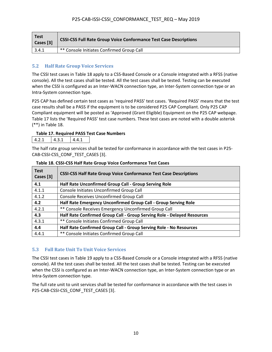| <b>Test</b><br>Cases [3] | <b>CSSI-CSS Full Rate Group Voice Conformance Test Case Descriptions</b> |  |
|--------------------------|--------------------------------------------------------------------------|--|
| 3.4.1                    | ** Console Initiates Confirmed Group Call                                |  |

### <span id="page-14-0"></span>**5.2 Half Rate Group Voice Services**

The CSSI test cases in Table 18 apply to a CSS-Based Console or a Console integrated with a RFSS (native console). All the test cases shall be tested. All the test cases shall be tested. Testing can be executed when the CSSI is configured as an Inter-WACN connection type, an Inter-System connection type or an Intra-System connection type.

P25 CAP has defined certain test cases as 'required PASS' test cases. 'Required PASS' means that the test case results shall be a PASS if the equipment is to be considered P25 CAP Compliant. Only P25 CAP Compliant equipment will be posted as 'Approved (Grant Eligible) Equipment on the P25 CAP webpage. Table 17 lists the 'Required PASS' test case numbers. These test cases are noted with a double asterisk (\*\*) in Table 18.

#### **Table 17. Required PASS Test Case Numbers**

|--|

The half rate group services shall be tested for conformance in accordance with the test cases in P25- CAB-CSSI-CSS\_CONF\_TEST\_CASES [3].

| <b>Test</b><br>Cases [3] | <b>CSSI-CSS Half Rate Group Voice Conformance Test Case Descriptions</b> |
|--------------------------|--------------------------------------------------------------------------|
| 4.1                      | Half Rate Unconfirmed Group Call - Group Serving Role                    |
| 4.1.1                    | Console Initiates Unconfirmed Group Call                                 |
| 4.1.2                    | Console Receives Unconfirmed Group Call                                  |
| 4.2                      | Half Rate Emergency Unconfirmed Group Call - Group Serving Role          |
| 4.2.1                    | ** Console Receives Emergency Unconfirmed Group Call                     |
| 4.3                      | Half Rate Confirmed Group Call - Group Serving Role - Delayed Resources  |
| 4.3.1                    | ** Console Initiates Confirmed Group Call                                |
| 4.4                      | Half Rate Confirmed Group Call - Group Serving Role - No Resources       |
| 4.4.1                    | ** Console Initiates Confirmed Group Call                                |

#### **Table 18. CSSI-CSS Half Rate Group Voice Conformance Test Cases**

### <span id="page-14-1"></span>**5.3 Full Rate Unit To Unit Voice Services**

The CSSI test cases in Table 19 apply to a CSS-Based Console or a Console integrated with a RFSS (native console). All the test cases shall be tested. All the test cases shall be tested. Testing can be executed when the CSSI is configured as an Inter-WACN connection type, an Inter-System connection type or an Intra-System connection type.

The full rate unit to unit services shall be tested for conformance in accordance with the test cases in P25-CAB-CSSI-CSS\_CONF\_TEST\_CASES [3].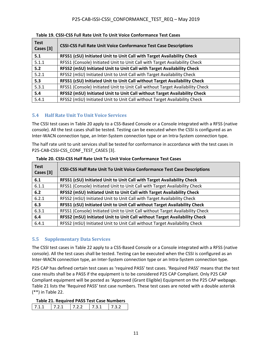| <b>Test</b><br>Cases [3] | <b>CSSI-CSS Full Rate Unit Voice Conformance Test Case Descriptions</b>       |
|--------------------------|-------------------------------------------------------------------------------|
| 5.1                      | RFSS1 (cSU) Initiated Unit to Unit Call with Target Availability Check        |
| 5.1.1                    | RFSS1 (Console) Initiated Unit to Unit Call with Target Availability Check    |
| 5.2                      | RFSS2 (mSU) Initiated Unit to Unit Call with Target Availability Check        |
| 5.2.1                    | RFSS2 (mSU) Initiated Unit to Unit Call with Target Availability Check        |
| 5.3                      | RFSS1 (cSU) Initiated Unit to Unit Call without Target Availability Check     |
| 5.3.1                    | RFSS1 (Console) Initiated Unit to Unit Call without Target Availability Check |
| 5.4                      | RFSS2 (mSU) Initiated Unit to Unit Call without Target Availability Check     |
| 5.4.1                    | RFSS2 (mSU) Initiated Unit to Unit Call without Target Availability Check     |

**Table 19. CSSI-CSS Full Rate Unit To Unit Voice Conformance Test Cases** 

### <span id="page-15-0"></span>**5.4 Half Rate Unit To Unit Voice Services**

The CSSI test cases in Table 20 apply to a CSS-Based Console or a Console integrated with a RFSS (native console). All the test cases shall be tested. Testing can be executed when the CSSI is configured as an Inter-WACN connection type, an Inter-System connection type or an Intra-System connection type.

The half rate unit to unit services shall be tested for conformance in accordance with the test cases in P25-CAB-CSSI-CSS\_CONF\_TEST\_CASES [3].

| <b>Test</b><br>Cases [3] | <b>CSSI-CSS Half Rate Unit To Unit Voice Conformance Test Case Descriptions</b> |
|--------------------------|---------------------------------------------------------------------------------|
| 6.1                      | RFSS1 (cSU) Initiated Unit to Unit Call with Target Availability Check          |
| 6.1.1                    | RFSS1 (Console) Initiated Unit to Unit Call with Target Availability Check      |
| 6.2                      | RFSS2 (mSU) Initiated Unit to Unit Call with Target Availability Check          |
| 6.2.1                    | RFSS2 (mSU) Initiated Unit to Unit Call with Target Availability Check          |
| 6.3                      | RFSS1 (cSU) Initiated Unit to Unit Call without Target Availability Check       |
| 6.3.1                    | RFSS1 (Console) Initiated Unit to Unit Call without Target Availability Check   |
| 6.4                      | RFSS2 (mSU) Initiated Unit to Unit Call without Target Availability Check       |
| 6.4.1                    | RFSS2 (mSU) Initiated Unit to Unit Call without Target Availability Check       |

**Table 20. CSSI-CSS Half Rate Unit To Unit Voice Conformance Test Cases**

### <span id="page-15-1"></span>**5.5 Supplementary Data Services**

The CSSI test cases in Table 22 apply to a CSS-Based Console or a Console integrated with a RFSS (native console). All the test cases shall be tested. Testing can be executed when the CSSI is configured as an Inter-WACN connection type, an Inter-System connection type or an Intra-System connection type.

P25 CAP has defined certain test cases as 'required PASS' test cases. 'Required PASS' means that the test case results shall be a PASS if the equipment is to be considered P25 CAP Compliant. Only P25 CAP Compliant equipment will be posted as 'Approved (Grant Eligible) Equipment on the P25 CAP webpage. Table 21 lists the 'Required PASS' test case numbers. These test cases are noted with a double asterisk (\*\*) in Table 22.

| --- | . | $\sim$<br>$\cdot$ – $\cdot$ – | .<br>$\cdot$ | $  -$ |
|-----|---|-------------------------------|--------------|-------|
|-----|---|-------------------------------|--------------|-------|